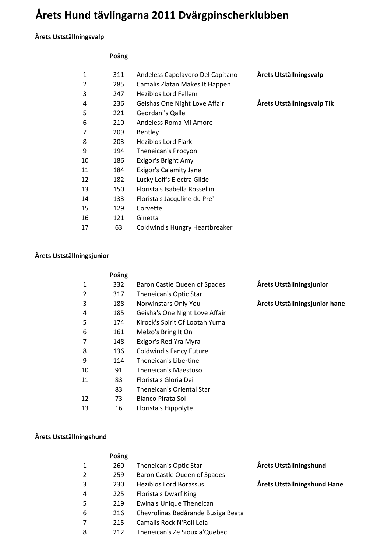# **Årets Hund tävlingarna 2011 Dvärgpinscherklubben**

### **Årets Ustställningsvalp**

#### Poäng

| 1  | 311 | Andeless Capolavoro Del Capitano | Årets Utställningsvalp     |
|----|-----|----------------------------------|----------------------------|
| 2  | 285 | Camalis Zlatan Makes It Happen   |                            |
| 3  | 247 | <b>Heziblos Lord Fellem</b>      |                            |
| 4  | 236 | Geishas One Night Love Affair    | Årets Utställningsvalp Tik |
| 5  | 221 | Geordani's Qalle                 |                            |
| 6  | 210 | Andeless Roma Mi Amore           |                            |
| 7  | 209 | Bentley                          |                            |
| 8  | 203 | <b>Heziblos Lord Flark</b>       |                            |
| 9  | 194 | Theneican's Procyon              |                            |
| 10 | 186 | Exigor's Bright Amy              |                            |
| 11 | 184 | Exigor's Calamity Jane           |                            |
| 12 | 182 | Lucky Loif's Electra Glide       |                            |
| 13 | 150 | Florista's Isabella Rossellini   |                            |
| 14 | 133 | Florista's Jacquline du Pre'     |                            |
| 15 | 129 | Corvette                         |                            |
| 16 | 121 | Ginetta                          |                            |
| 17 | 63  | Coldwind's Hungry Heartbreaker   |                            |

#### **Årets Ustställningsjunior**

|                | Poäng |                                |                               |
|----------------|-------|--------------------------------|-------------------------------|
| 1              | 332   | Baron Castle Queen of Spades   | Årets Utställningsjunior      |
| $\overline{2}$ | 317   | Theneican's Optic Star         |                               |
| 3              | 188   | Norwinstars Only You           | Årets Utställningsjunior hane |
| 4              | 185   | Geisha's One Night Love Affair |                               |
| 5              | 174   | Kirock's Spirit Of Lootah Yuma |                               |
| 6              | 161   | Melzo's Bring It On            |                               |
| 7              | 148   | Exigor's Red Yra Myra          |                               |
| 8              | 136   | <b>Coldwind's Fancy Future</b> |                               |
| 9              | 114   | Theneican's Libertine          |                               |
| 10             | 91    | Theneican's Maestoso           |                               |
| 11             | 83    | Florista's Gloria Dei          |                               |
|                | 83    | Theneican's Oriental Star      |                               |
| 12             | 73    | Blanco Pirata Sol              |                               |
| 13             | 16    | Florista's Hippolyte           |                               |
|                |       |                                |                               |

### **Årets Ustställningshund**

|   | Poäng |                                    |                             |
|---|-------|------------------------------------|-----------------------------|
| 1 | 260   | Theneican's Optic Star             | Årets Utställningshund      |
| 2 | 259   | Baron Castle Queen of Spades       |                             |
| 3 | 230   | <b>Heziblos Lord Borassus</b>      | Årets Utställningshund Hane |
| 4 | 225   | <b>Florista's Dwarf King</b>       |                             |
| 5 | 219   | <b>Ewina's Unique Theneican</b>    |                             |
| 6 | 216   | Chevrolinas Bedårande Busiga Beata |                             |
| 7 | 215   | Camalis Rock N'Roll Lola           |                             |
| 8 | 212   | Theneican's Ze Sioux a'Quebec      |                             |
|   |       |                                    |                             |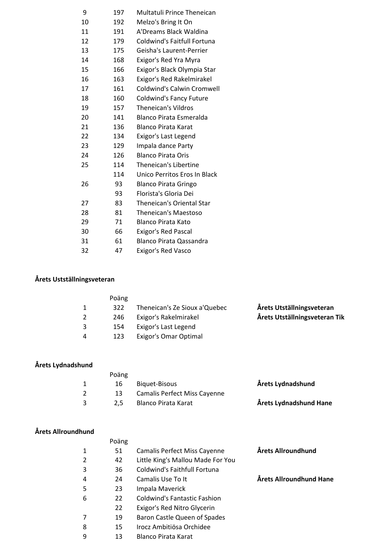| 9  | 197 | Multatuli Prince Theneican        |
|----|-----|-----------------------------------|
| 10 | 192 | Melzo's Bring It On               |
| 11 | 191 | A'Dreams Black Waldina            |
| 12 | 179 | Coldwind's Faitfull Fortuna       |
| 13 | 175 | Geisha's Laurent-Perrier          |
| 14 | 168 | Exigor's Red Yra Myra             |
| 15 | 166 | Exigor's Black Olympia Star       |
| 16 | 163 | Exigor's Red Rakelmirakel         |
| 17 | 161 | <b>Coldwind's Calwin Cromwell</b> |
| 18 | 160 | <b>Coldwind's Fancy Future</b>    |
| 19 | 157 | Theneican's Vildros               |
| 20 | 141 | Blanco Pirata Esmeralda           |
| 21 | 136 | <b>Blanco Pirata Karat</b>        |
| 22 | 134 | Exigor's Last Legend              |
| 23 | 129 | Impala dance Party                |
| 24 | 126 | <b>Blanco Pirata Oris</b>         |
| 25 | 114 | Theneican's Libertine             |
|    | 114 | Unico Perritos Eros In Black      |
| 26 | 93  | <b>Blanco Pirata Gringo</b>       |
|    | 93  | Florista's Gloria Dei             |
| 27 | 83  | <b>Theneican's Oriental Star</b>  |
| 28 | 81  | Theneican's Maestoso              |
| 29 | 71  | <b>Blanco Pirata Kato</b>         |
| 30 | 66  | <b>Exigor's Red Pascal</b>        |
| 31 | 61  | <b>Blanco Pirata Qassandra</b>    |
| 32 | 47  | <b>Exigor's Red Vasco</b>         |
|    |     |                                   |

## **Årets Ustställningsveteran**

|   | Poäng |                               |                               |
|---|-------|-------------------------------|-------------------------------|
|   | 322   | Theneican's Ze Sioux a'Quebec | Årets Utställningsveteran     |
|   | 246   | Exigor's Rakelmirakel         | Årets Utställningsveteran Tik |
| 3 | 154   | Exigor's Last Legend          |                               |
| 4 | 123   | <b>Exigor's Omar Optimal</b>  |                               |

#### **Årets Lydnadshund**

| Poäng |                              |                        |
|-------|------------------------------|------------------------|
| 16    | Biguet-Bisous                | Årets Lydnadshund      |
| 13.   | Camalis Perfect Miss Cayenne |                        |
| 2.5   | Blanco Pirata Karat          | Årets Lydnadshund Hane |
|       |                              |                        |

## **Årets Allroundhund**

|   | Poäng |                                     |                         |
|---|-------|-------------------------------------|-------------------------|
| 1 | 51    | <b>Camalis Perfect Miss Cayenne</b> | Årets Allroundhund      |
| 2 | 42    | Little King's Mallou Made For You   |                         |
| 3 | 36    | Coldwind's Faithfull Fortuna        |                         |
| 4 | 24    | Camalis Use To It                   | Årets Allroundhund Hane |
| 5 | 23    | Impala Maverick                     |                         |
| 6 | 22    | <b>Coldwind's Fantastic Fashion</b> |                         |
|   | 22    | Exigor's Red Nitro Glycerin         |                         |
| 7 | 19    | Baron Castle Queen of Spades        |                         |
| 8 | 15    | Irocz Ambitiösa Orchidee            |                         |
| ٩ | 13    | <b>Blanco Pirata Karat</b>          |                         |
|   |       |                                     |                         |